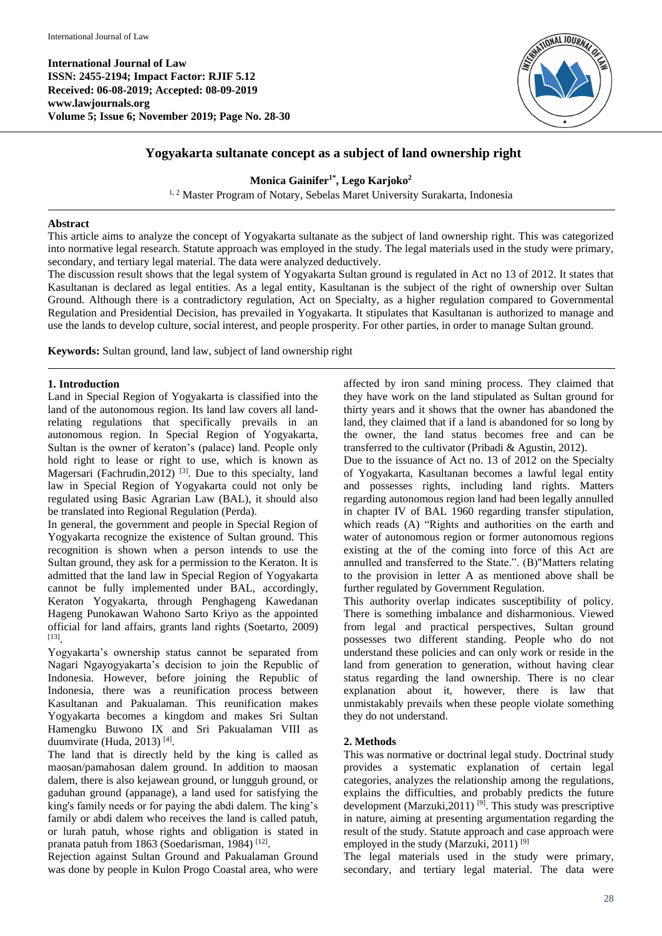**International Journal of Law ISSN: 2455-2194; Impact Factor: RJIF 5.12 Received: 06-08-2019; Accepted: 08-09-2019 www.lawjournals.org Volume 5; Issue 6; November 2019; Page No. 28-30**



# **Yogyakarta sultanate concept as a subject of land ownership right**

**Monica Gainifer1\* , Lego Karjoko<sup>2</sup>**

<sup>1, 2</sup> Master Program of Notary, Sebelas Maret University Surakarta, Indonesia

#### **Abstract**

This article aims to analyze the concept of Yogyakarta sultanate as the subject of land ownership right. This was categorized into normative legal research. Statute approach was employed in the study. The legal materials used in the study were primary, secondary, and tertiary legal material. The data were analyzed deductively.

The discussion result shows that the legal system of Yogyakarta Sultan ground is regulated in Act no 13 of 2012. It states that Kasultanan is declared as legal entities. As a legal entity, Kasultanan is the subject of the right of ownership over Sultan Ground. Although there is a contradictory regulation, Act on Specialty, as a higher regulation compared to Governmental Regulation and Presidential Decision, has prevailed in Yogyakarta. It stipulates that Kasultanan is authorized to manage and use the lands to develop culture, social interest, and people prosperity. For other parties, in order to manage Sultan ground.

**Keywords:** Sultan ground, land law, subject of land ownership right

#### **1. Introduction**

Land in Special Region of Yogyakarta is classified into the land of the autonomous region. Its land law covers all landrelating regulations that specifically prevails in an autonomous region. In Special Region of Yogyakarta, Sultan is the owner of keraton's (palace) land. People only hold right to lease or right to use, which is known as Magersari (Fachrudin, 2012)<sup>[3]</sup>. Due to this specialty, land law in Special Region of Yogyakarta could not only be regulated using Basic Agrarian Law (BAL), it should also be translated into Regional Regulation (Perda).

In general, the government and people in Special Region of Yogyakarta recognize the existence of Sultan ground. This recognition is shown when a person intends to use the Sultan ground, they ask for a permission to the Keraton. It is admitted that the land law in Special Region of Yogyakarta cannot be fully implemented under BAL, accordingly, Keraton Yogyakarta, through Penghageng Kawedanan Hageng Punokawan Wahono Sarto Kriyo as the appointed official for land affairs, grants land rights (Soetarto, 2009) [13] .

Yogyakarta's ownership status cannot be separated from Nagari Ngayogyakarta's decision to join the Republic of Indonesia. However, before joining the Republic of Indonesia, there was a reunification process between Kasultanan and Pakualaman. This reunification makes Yogyakarta becomes a kingdom and makes Sri Sultan Hamengku Buwono IX and Sri Pakualaman VIII as duumvirate (Huda, 2013)<sup>[4]</sup>.

The land that is directly held by the king is called as maosan/pamahosan dalem ground. In addition to maosan dalem, there is also kejawean ground, or lungguh ground, or gaduhan ground (appanage), a land used for satisfying the king's family needs or for paying the abdi dalem. The king's family or abdi dalem who receives the land is called patuh, or lurah patuh, whose rights and obligation is stated in pranata patuh from 1863 (Soedarisman, 1984)<sup>[12]</sup>.

Rejection against Sultan Ground and Pakualaman Ground was done by people in Kulon Progo Coastal area, who were

affected by iron sand mining process. They claimed that they have work on the land stipulated as Sultan ground for thirty years and it shows that the owner has abandoned the land, they claimed that if a land is abandoned for so long by the owner, the land status becomes free and can be transferred to the cultivator (Pribadi & Agustin, 2012).

Due to the issuance of Act no. 13 of 2012 on the Specialty of Yogyakarta, Kasultanan becomes a lawful legal entity and possesses rights, including land rights. Matters regarding autonomous region land had been legally annulled in chapter IV of BAL 1960 regarding transfer stipulation, which reads (A) "Rights and authorities on the earth and water of autonomous region or former autonomous regions existing at the of the coming into force of this Act are annulled and transferred to the State.". (B)"Matters relating to the provision in letter A as mentioned above shall be further regulated by Government Regulation.

This authority overlap indicates susceptibility of policy. There is something imbalance and disharmonious. Viewed from legal and practical perspectives, Sultan ground possesses two different standing. People who do not understand these policies and can only work or reside in the land from generation to generation, without having clear status regarding the land ownership. There is no clear explanation about it, however, there is law that unmistakably prevails when these people violate something they do not understand.

## **2. Methods**

This was normative or doctrinal legal study. Doctrinal study provides a systematic explanation of certain legal categories, analyzes the relationship among the regulations, explains the difficulties, and probably predicts the future development (Marzuki, 2011) <sup>[9]</sup>. This study was prescriptive in nature, aiming at presenting argumentation regarding the result of the study. Statute approach and case approach were employed in the study (Marzuki, 2011)<sup>[9]</sup>

The legal materials used in the study were primary, secondary, and tertiary legal material. The data were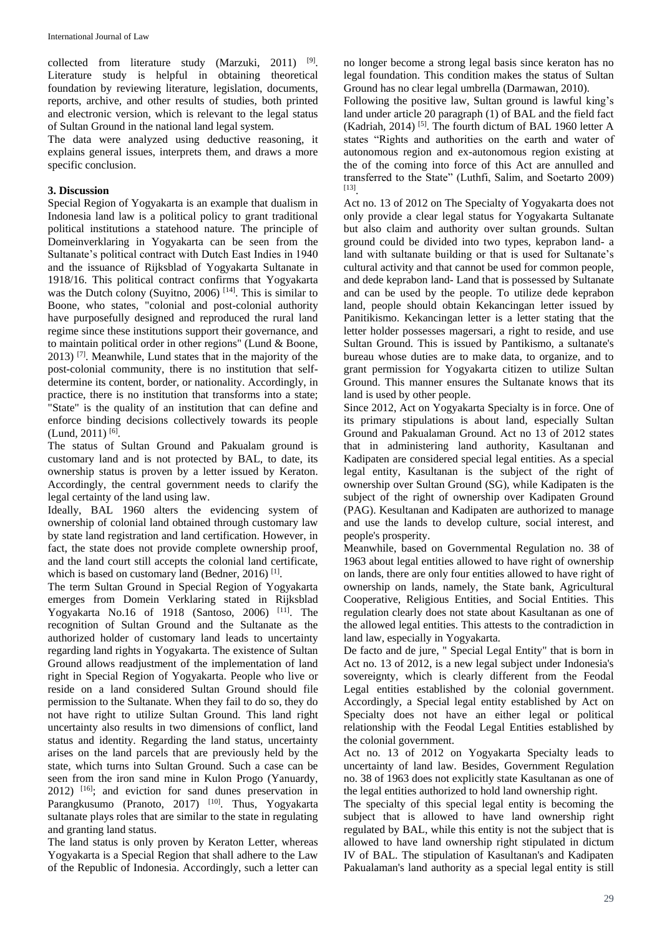collected from literature study (Marzuki,  $2011$ ) <sup>[9]</sup>. Literature study is helpful in obtaining theoretical foundation by reviewing literature, legislation, documents, reports, archive, and other results of studies, both printed and electronic version, which is relevant to the legal status of Sultan Ground in the national land legal system.

The data were analyzed using deductive reasoning, it explains general issues, interprets them, and draws a more specific conclusion.

## **3. Discussion**

Special Region of Yogyakarta is an example that dualism in Indonesia land law is a political policy to grant traditional political institutions a statehood nature. The principle of Domeinverklaring in Yogyakarta can be seen from the Sultanate's political contract with Dutch East Indies in 1940 and the issuance of Rijksblad of Yogyakarta Sultanate in 1918/16. This political contract confirms that Yogyakarta was the Dutch colony (Suyitno, 2006)  $[14]$ . This is similar to Boone, who states, "colonial and post-colonial authority have purposefully designed and reproduced the rural land regime since these institutions support their governance, and to maintain political order in other regions" (Lund & Boone,  $2013$ )<sup>[7]</sup>. Meanwhile, Lund states that in the majority of the post-colonial community, there is no institution that selfdetermine its content, border, or nationality. Accordingly, in practice, there is no institution that transforms into a state; "State" is the quality of an institution that can define and enforce binding decisions collectively towards its people  $(Lund, 2011)^{[6]}$ .

The status of Sultan Ground and Pakualam ground is customary land and is not protected by BAL, to date, its ownership status is proven by a letter issued by Keraton. Accordingly, the central government needs to clarify the legal certainty of the land using law.

Ideally, BAL 1960 alters the evidencing system of ownership of colonial land obtained through customary law by state land registration and land certification. However, in fact, the state does not provide complete ownership proof, and the land court still accepts the colonial land certificate, which is based on customary land (Bedner, 2016)<sup>[1]</sup>.

The term Sultan Ground in Special Region of Yogyakarta emerges from Domein Verklaring stated in Rijksblad Yogyakarta No.16 of 1918 (Santoso, 2006) [11]. The recognition of Sultan Ground and the Sultanate as the authorized holder of customary land leads to uncertainty regarding land rights in Yogyakarta. The existence of Sultan Ground allows readjustment of the implementation of land right in Special Region of Yogyakarta. People who live or reside on a land considered Sultan Ground should file permission to the Sultanate. When they fail to do so, they do not have right to utilize Sultan Ground. This land right uncertainty also results in two dimensions of conflict, land status and identity. Regarding the land status, uncertainty arises on the land parcels that are previously held by the state, which turns into Sultan Ground. Such a case can be seen from the iron sand mine in Kulon Progo (Yanuardy, 2012) [16]; and eviction for sand dunes preservation in Parangkusumo (Pranoto, 2017) <sup>[10]</sup>. Thus, Yogyakarta sultanate plays roles that are similar to the state in regulating and granting land status.

The land status is only proven by Keraton Letter, whereas Yogyakarta is a Special Region that shall adhere to the Law of the Republic of Indonesia. Accordingly, such a letter can

no longer become a strong legal basis since keraton has no legal foundation. This condition makes the status of Sultan Ground has no clear legal umbrella (Darmawan, 2010).

Following the positive law, Sultan ground is lawful king's land under article 20 paragraph (1) of BAL and the field fact (Kadriah, 2014) <sup>[5]</sup>. The fourth dictum of BAL 1960 letter A states "Rights and authorities on the earth and water of autonomous region and ex-autonomous region existing at the of the coming into force of this Act are annulled and transferred to the State" (Luthfi, Salim, and Soetarto 2009) [13] .

Act no. 13 of 2012 on The Specialty of Yogyakarta does not only provide a clear legal status for Yogyakarta Sultanate but also claim and authority over sultan grounds. Sultan ground could be divided into two types, keprabon land- a land with sultanate building or that is used for Sultanate's cultural activity and that cannot be used for common people, and dede keprabon land- Land that is possessed by Sultanate and can be used by the people. To utilize dede keprabon land, people should obtain Kekancingan letter issued by Panitikismo. Kekancingan letter is a letter stating that the letter holder possesses magersari, a right to reside, and use Sultan Ground. This is issued by Pantikismo, a sultanate's bureau whose duties are to make data, to organize, and to grant permission for Yogyakarta citizen to utilize Sultan Ground. This manner ensures the Sultanate knows that its land is used by other people.

Since 2012, Act on Yogyakarta Specialty is in force. One of its primary stipulations is about land, especially Sultan Ground and Pakualaman Ground. Act no 13 of 2012 states that in administering land authority, Kasultanan and Kadipaten are considered special legal entities. As a special legal entity, Kasultanan is the subject of the right of ownership over Sultan Ground (SG), while Kadipaten is the subject of the right of ownership over Kadipaten Ground (PAG). Kesultanan and Kadipaten are authorized to manage and use the lands to develop culture, social interest, and people's prosperity.

Meanwhile, based on Governmental Regulation no. 38 of 1963 about legal entities allowed to have right of ownership on lands, there are only four entities allowed to have right of ownership on lands, namely, the State bank, Agricultural Cooperative, Religious Entities, and Social Entities. This regulation clearly does not state about Kasultanan as one of the allowed legal entities. This attests to the contradiction in land law, especially in Yogyakarta.

De facto and de jure, " Special Legal Entity" that is born in Act no. 13 of 2012, is a new legal subject under Indonesia's sovereignty, which is clearly different from the Feodal Legal entities established by the colonial government. Accordingly, a Special legal entity established by Act on Specialty does not have an either legal or political relationship with the Feodal Legal Entities established by the colonial government.

Act no. 13 of 2012 on Yogyakarta Specialty leads to uncertainty of land law. Besides, Government Regulation no. 38 of 1963 does not explicitly state Kasultanan as one of the legal entities authorized to hold land ownership right.

The specialty of this special legal entity is becoming the subject that is allowed to have land ownership right regulated by BAL, while this entity is not the subject that is allowed to have land ownership right stipulated in dictum IV of BAL. The stipulation of Kasultanan's and Kadipaten Pakualaman's land authority as a special legal entity is still